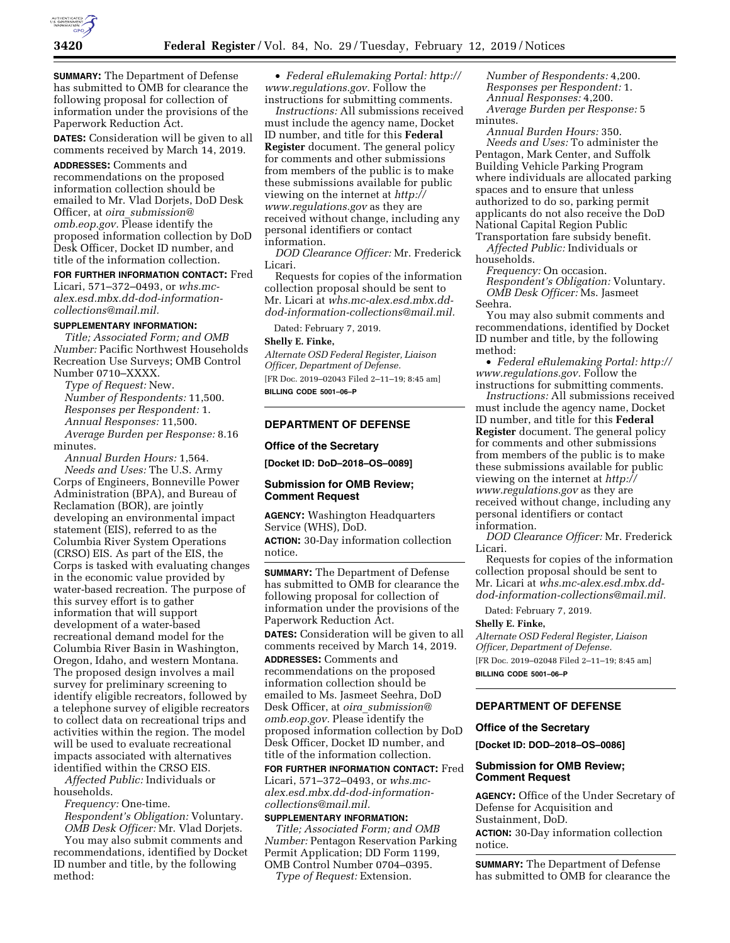

**SUMMARY:** The Department of Defense has submitted to OMB for clearance the following proposal for collection of information under the provisions of the Paperwork Reduction Act.

**DATES:** Consideration will be given to all comments received by March 14, 2019.

**ADDRESSES:** Comments and recommendations on the proposed information collection should be emailed to Mr. Vlad Dorjets, DoD Desk Officer, at *oira*\_*[submission@](mailto:oira_submission@omb.eop.gov) [omb.eop.gov.](mailto:oira_submission@omb.eop.gov)* Please identify the proposed information collection by DoD Desk Officer, Docket ID number, and title of the information collection.

# **FOR FURTHER INFORMATION CONTACT:** Fred

Licari, 571–372–0493, or *[whs.mc](mailto:whs.mc-alex.esd.mbx.dd-dod-information-collections@mail.mil)[alex.esd.mbx.dd-dod-information](mailto:whs.mc-alex.esd.mbx.dd-dod-information-collections@mail.mil)[collections@mail.mil.](mailto:whs.mc-alex.esd.mbx.dd-dod-information-collections@mail.mil)* 

### **SUPPLEMENTARY INFORMATION:**

*Title; Associated Form; and OMB Number:* Pacific Northwest Households Recreation Use Surveys; OMB Control Number 0710–XXXX.

*Type of Request:* New. *Number of Respondents:* 11,500. *Responses per Respondent:* 1. *Annual Responses:* 11,500. *Average Burden per Response:* 8.16 minutes.

*Annual Burden Hours:* 1,564. *Needs and Uses:* The U.S. Army Corps of Engineers, Bonneville Power Administration (BPA), and Bureau of Reclamation (BOR), are jointly developing an environmental impact statement (EIS), referred to as the Columbia River System Operations (CRSO) EIS. As part of the EIS, the Corps is tasked with evaluating changes in the economic value provided by water-based recreation. The purpose of this survey effort is to gather information that will support development of a water-based recreational demand model for the Columbia River Basin in Washington, Oregon, Idaho, and western Montana. The proposed design involves a mail survey for preliminary screening to identify eligible recreators, followed by a telephone survey of eligible recreators to collect data on recreational trips and activities within the region. The model will be used to evaluate recreational impacts associated with alternatives identified within the CRSO EIS.

*Affected Public:* Individuals or households.

*Frequency:* One-time.

*Respondent's Obligation:* Voluntary. *OMB Desk Officer:* Mr. Vlad Dorjets.

You may also submit comments and recommendations, identified by Docket ID number and title, by the following method:

• *Federal eRulemaking Portal: [http://](http://www.regulations.gov)  [www.regulations.gov.](http://www.regulations.gov)* Follow the instructions for submitting comments.

*Instructions:* All submissions received must include the agency name, Docket ID number, and title for this **Federal Register** document. The general policy for comments and other submissions from members of the public is to make these submissions available for public viewing on the internet at *[http://](http://www.regulations.gov) [www.regulations.gov](http://www.regulations.gov)* as they are received without change, including any personal identifiers or contact information.

*DOD Clearance Officer:* Mr. Frederick Licari.

Requests for copies of the information collection proposal should be sent to Mr. Licari at *[whs.mc-alex.esd.mbx.dd](mailto:whs.mc-alex.esd.mbx.dd-dod-information-collections@mail.mil)[dod-information-collections@mail.mil.](mailto:whs.mc-alex.esd.mbx.dd-dod-information-collections@mail.mil)* 

Dated: February 7, 2019.

#### **Shelly E. Finke,**

*Alternate OSD Federal Register, Liaison Officer, Department of Defense.*  [FR Doc. 2019–02043 Filed 2–11–19; 8:45 am] **BILLING CODE 5001–06–P** 

### **DEPARTMENT OF DEFENSE**

#### **Office of the Secretary**

**[Docket ID: DoD–2018–OS–0089]** 

# **Submission for OMB Review; Comment Request**

**AGENCY:** Washington Headquarters Service (WHS), DoD.

**ACTION:** 30-Day information collection notice.

**SUMMARY:** The Department of Defense has submitted to OMB for clearance the following proposal for collection of information under the provisions of the Paperwork Reduction Act. **DATES:** Consideration will be given to all

comments received by March 14, 2019. **ADDRESSES:** Comments and recommendations on the proposed

information collection should be emailed to Ms. Jasmeet Seehra, DoD Desk Officer, at *oira*\_*[submission@](mailto:oira_submission@omb.eop.gov) [omb.eop.gov.](mailto:oira_submission@omb.eop.gov)* Please identify the proposed information collection by DoD Desk Officer, Docket ID number, and title of the information collection.

**FOR FURTHER INFORMATION CONTACT:** Fred Licari, 571–372–0493, or *[whs.mc](mailto:whs.mc-alex.esd.mbx.dd-dod-information-collections@mail.mil)[alex.esd.mbx.dd-dod-information](mailto:whs.mc-alex.esd.mbx.dd-dod-information-collections@mail.mil)[collections@mail.mil.](mailto:whs.mc-alex.esd.mbx.dd-dod-information-collections@mail.mil)* 

# **SUPPLEMENTARY INFORMATION:**

*Title; Associated Form; and OMB Number:* Pentagon Reservation Parking Permit Application; DD Form 1199, OMB Control Number 0704–0395. *Type of Request:* Extension.

*Number of Respondents:* 4,200. *Responses per Respondent:* 1. *Annual Responses:* 4,200. *Average Burden per Response:* 5 minutes.

*Annual Burden Hours:* 350. *Needs and Uses:* To administer the Pentagon, Mark Center, and Suffolk Building Vehicle Parking Program where individuals are allocated parking spaces and to ensure that unless authorized to do so, parking permit applicants do not also receive the DoD National Capital Region Public Transportation fare subsidy benefit.

*Affected Public:* Individuals or households.

*Frequency:* On occasion. *Respondent's Obligation:* Voluntary. *OMB Desk Officer:* Ms. Jasmeet Seehra.

You may also submit comments and recommendations, identified by Docket ID number and title, by the following method:

• *Federal eRulemaking Portal: [http://](http://www.regulations.gov)  [www.regulations.gov.](http://www.regulations.gov)* Follow the instructions for submitting comments.

*Instructions:* All submissions received must include the agency name, Docket ID number, and title for this **Federal Register** document. The general policy for comments and other submissions from members of the public is to make these submissions available for public viewing on the internet at *[http://](http://www.regulations.gov) [www.regulations.gov](http://www.regulations.gov)* as they are received without change, including any personal identifiers or contact information.

*DOD Clearance Officer:* Mr. Frederick Licari.

Requests for copies of the information collection proposal should be sent to Mr. Licari at *[whs.mc-alex.esd.mbx.dd](mailto:whs.mc-alex.esd.mbx.dd-dod-information-collections@mail.mil)[dod-information-collections@mail.mil.](mailto:whs.mc-alex.esd.mbx.dd-dod-information-collections@mail.mil)* 

Dated: February 7, 2019. **Shelly E. Finke,** 

*Alternate OSD Federal Register, Liaison Officer, Department of Defense.*  [FR Doc. 2019–02048 Filed 2–11–19; 8:45 am] **BILLING CODE 5001–06–P** 

# **DEPARTMENT OF DEFENSE**

### **Office of the Secretary**

**[Docket ID: DOD–2018–OS–0086]** 

# **Submission for OMB Review; Comment Request**

**AGENCY:** Office of the Under Secretary of Defense for Acquisition and Sustainment, DoD.

**ACTION:** 30-Day information collection notice.

**SUMMARY:** The Department of Defense has submitted to OMB for clearance the